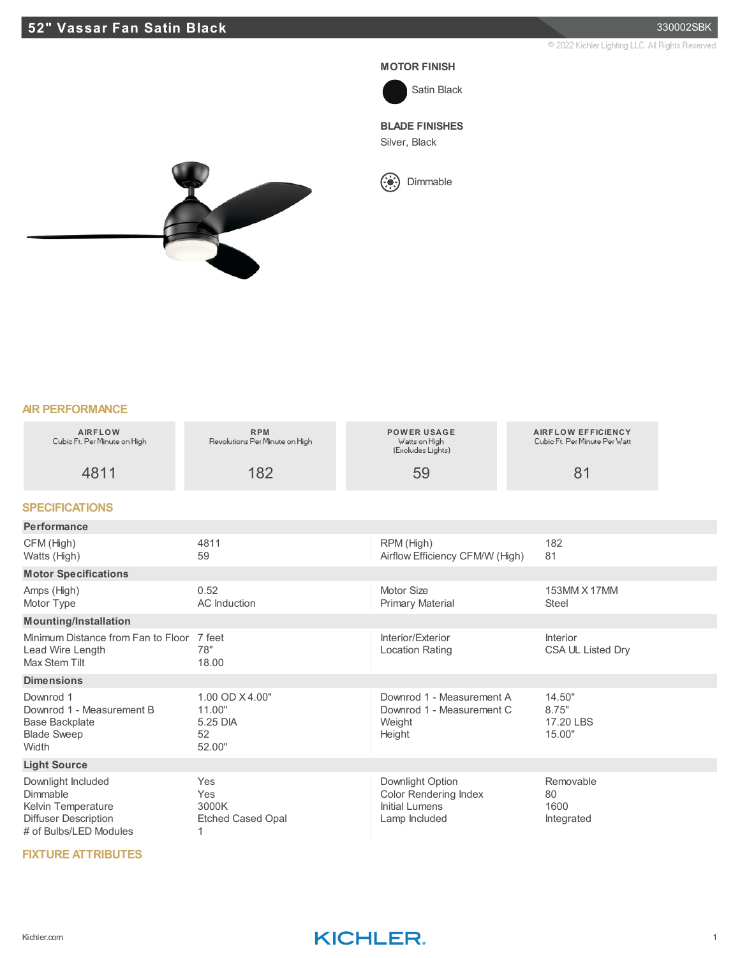### **52" Vassar Fan Satin Black** 330002SBK

@ 2022 Kichler Lighting LLC, All Rights Reserved.

#### **MOTOR FINISH**



### **BLADE FINISHES**

Silver, Black



 $\binom{1}{2}$  Dimmable



#### **AIR PERFORMANCE**

| <b>AIRFLOW</b><br>Cubic Ft. Per Minute on High                                                                | <b>RPM</b><br>Revolutions Per Minute on High         | <b>POWER USAGE</b><br>Watts on High<br>(Excludes Lights)                            | <b>AIRFLOW EFFICIENCY</b><br>Cubio Ft. Per Minute Per Watt |  |
|---------------------------------------------------------------------------------------------------------------|------------------------------------------------------|-------------------------------------------------------------------------------------|------------------------------------------------------------|--|
| 4811                                                                                                          | 182                                                  | 59                                                                                  | 81                                                         |  |
| <b>SPECIFICATIONS</b>                                                                                         |                                                      |                                                                                     |                                                            |  |
| Performance                                                                                                   |                                                      |                                                                                     |                                                            |  |
| CFM (High)<br>Watts (High)                                                                                    | 4811<br>59                                           | RPM (High)<br>Airflow Efficiency CFM/W (High)                                       | 182<br>81                                                  |  |
| <b>Motor Specifications</b>                                                                                   |                                                      |                                                                                     |                                                            |  |
| Amps (High)<br>Motor Type                                                                                     | 0.52<br>AC Induction                                 | Motor Size<br><b>Primary Material</b>                                               | 153MM X 17MM<br>Steel                                      |  |
| <b>Mounting/Installation</b>                                                                                  |                                                      |                                                                                     |                                                            |  |
| Minimum Distance from Fan to Floor<br>Lead Wire Length<br><b>Max Stem Tilt</b>                                | 7 feet<br>78"<br>18.00                               | Interior/Exterior<br><b>Location Rating</b>                                         | <b>Interior</b><br>CSA UL Listed Dry                       |  |
| <b>Dimensions</b>                                                                                             |                                                      |                                                                                     |                                                            |  |
| Downrod 1<br>Downrod 1 - Measurement B<br><b>Base Backplate</b><br><b>Blade Sweep</b><br>Width                | 1.00 OD X4.00"<br>11.00"<br>5.25 DIA<br>52<br>52.00" | Downrod 1 - Measurement A<br>Downrod 1 - Measurement C<br>Weight<br>Height          | 14.50"<br>8.75"<br>17.20 LBS<br>15.00"                     |  |
| <b>Light Source</b>                                                                                           |                                                      |                                                                                     |                                                            |  |
| Downlight Included<br>Dimmable<br>Kelvin Temperature<br><b>Diffuser Description</b><br># of Bulbs/LED Modules | Yes<br>Yes<br>3000K<br><b>Etched Cased Opal</b><br>1 | Downlight Option<br><b>Color Rendering Index</b><br>Initial Lumens<br>Lamp Included | Removable<br>80<br>1600<br>Integrated                      |  |

#### **FIXTURE ATTRIBUTES**



## Kichler.com **Kichler.com 1**